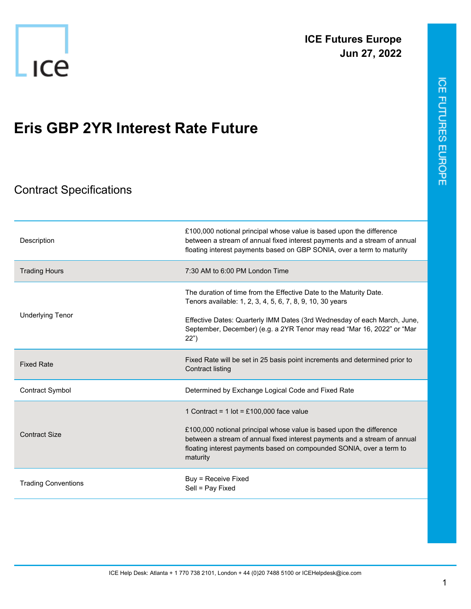

## **Eris GBP 2YR Interest Rate Future**

## Contract Specifications

| Description                | £100,000 notional principal whose value is based upon the difference<br>between a stream of annual fixed interest payments and a stream of annual<br>floating interest payments based on GBP SONIA, over a term to maturity                                                         |
|----------------------------|-------------------------------------------------------------------------------------------------------------------------------------------------------------------------------------------------------------------------------------------------------------------------------------|
| <b>Trading Hours</b>       | 7:30 AM to 6:00 PM London Time                                                                                                                                                                                                                                                      |
|                            | The duration of time from the Effective Date to the Maturity Date.<br>Tenors available: 1, 2, 3, 4, 5, 6, 7, 8, 9, 10, 30 years                                                                                                                                                     |
| <b>Underlying Tenor</b>    | Effective Dates: Quarterly IMM Dates (3rd Wednesday of each March, June,<br>September, December) (e.g. a 2YR Tenor may read "Mar 16, 2022" or "Mar<br>22")                                                                                                                          |
| <b>Fixed Rate</b>          | Fixed Rate will be set in 25 basis point increments and determined prior to<br><b>Contract listing</b>                                                                                                                                                                              |
| <b>Contract Symbol</b>     | Determined by Exchange Logical Code and Fixed Rate                                                                                                                                                                                                                                  |
| <b>Contract Size</b>       | 1 Contract = $1$ lot = £100,000 face value<br>£100,000 notional principal whose value is based upon the difference<br>between a stream of annual fixed interest payments and a stream of annual<br>floating interest payments based on compounded SONIA, over a term to<br>maturity |
| <b>Trading Conventions</b> | Buy = Receive Fixed<br>Sell = Pay Fixed                                                                                                                                                                                                                                             |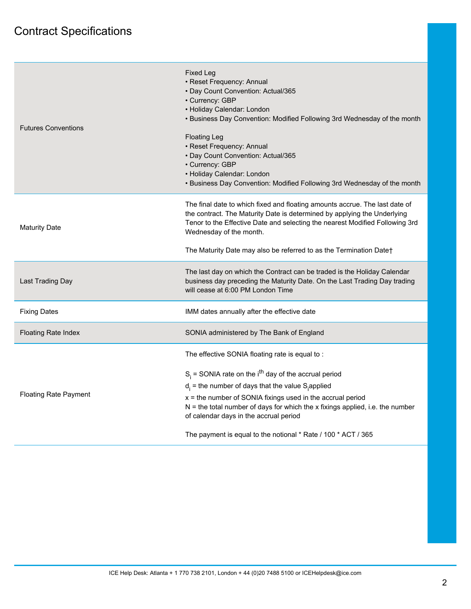| <b>Futures Conventions</b>   | <b>Fixed Leg</b><br>• Reset Frequency: Annual<br>· Day Count Convention: Actual/365<br>• Currency: GBP<br>• Holiday Calendar: London<br>• Business Day Convention: Modified Following 3rd Wednesday of the month<br><b>Floating Leg</b><br>• Reset Frequency: Annual<br>• Day Count Convention: Actual/365<br>• Currency: GBP<br>• Holiday Calendar: London<br>• Business Day Convention: Modified Following 3rd Wednesday of the month                 |
|------------------------------|---------------------------------------------------------------------------------------------------------------------------------------------------------------------------------------------------------------------------------------------------------------------------------------------------------------------------------------------------------------------------------------------------------------------------------------------------------|
| <b>Maturity Date</b>         | The final date to which fixed and floating amounts accrue. The last date of<br>the contract. The Maturity Date is determined by applying the Underlying<br>Tenor to the Effective Date and selecting the nearest Modified Following 3rd<br>Wednesday of the month.<br>The Maturity Date may also be referred to as the Termination Date†                                                                                                                |
|                              |                                                                                                                                                                                                                                                                                                                                                                                                                                                         |
| Last Trading Day             | The last day on which the Contract can be traded is the Holiday Calendar<br>business day preceding the Maturity Date. On the Last Trading Day trading<br>will cease at 6:00 PM London Time                                                                                                                                                                                                                                                              |
| <b>Fixing Dates</b>          | IMM dates annually after the effective date                                                                                                                                                                                                                                                                                                                                                                                                             |
| <b>Floating Rate Index</b>   | SONIA administered by The Bank of England                                                                                                                                                                                                                                                                                                                                                                                                               |
| <b>Floating Rate Payment</b> | The effective SONIA floating rate is equal to:<br>$S_i$ = SONIA rate on the i <sup>th</sup> day of the accrual period<br>$d_i$ = the number of days that the value S <sub>i</sub> applied<br>$x =$ the number of SONIA fixings used in the accrual period<br>$N =$ the total number of days for which the x fixings applied, i.e. the number<br>of calendar days in the accrual period<br>The payment is equal to the notional * Rate / 100 * ACT / 365 |